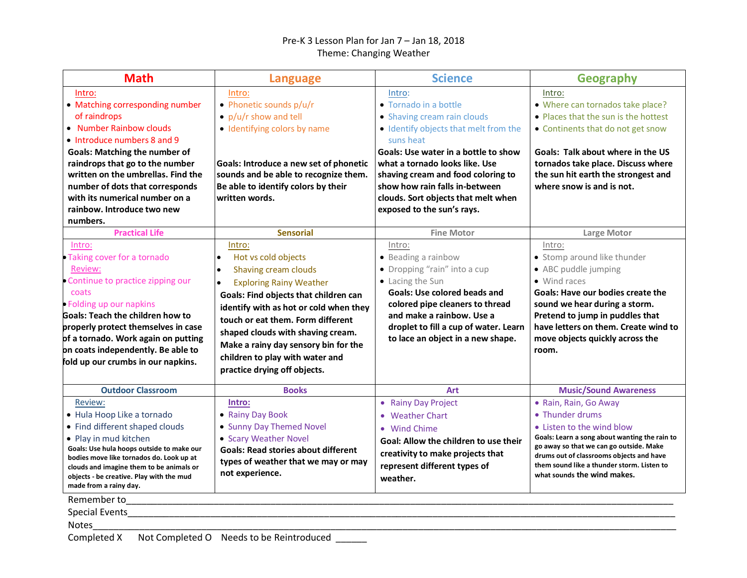## Pre-K 3 Lesson Plan for Jan 7 – Jan 18, 2018 Theme: Changing Weather

| <b>Math</b>                                                                                                                                                                                                                                                                                                                                         | <b>Language</b>                                                                                                                                                                                                                                                                                                                                                       | <b>Science</b>                                                                                                                                                                                                                                                                                                                              | <b>Geography</b>                                                                                                                                                                                                                                                                           |
|-----------------------------------------------------------------------------------------------------------------------------------------------------------------------------------------------------------------------------------------------------------------------------------------------------------------------------------------------------|-----------------------------------------------------------------------------------------------------------------------------------------------------------------------------------------------------------------------------------------------------------------------------------------------------------------------------------------------------------------------|---------------------------------------------------------------------------------------------------------------------------------------------------------------------------------------------------------------------------------------------------------------------------------------------------------------------------------------------|--------------------------------------------------------------------------------------------------------------------------------------------------------------------------------------------------------------------------------------------------------------------------------------------|
| Intro:<br>• Matching corresponding number<br>of raindrops<br>• Number Rainbow clouds<br>• Introduce numbers 8 and 9<br><b>Goals: Matching the number of</b><br>raindrops that go to the number<br>written on the umbrellas. Find the<br>number of dots that corresponds<br>with its numerical number on a<br>rainbow. Introduce two new<br>numbers. | Intro:<br>• Phonetic sounds p/u/r<br>• $p/u/r$ show and tell<br>• Identifying colors by name<br>Goals: Introduce a new set of phonetic<br>sounds and be able to recognize them.<br>Be able to identify colors by their<br>written words.                                                                                                                              | Intro:<br>• Tornado in a bottle<br>• Shaving cream rain clouds<br>• Identify objects that melt from the<br>suns heat<br>Goals: Use water in a bottle to show<br>what a tornado looks like. Use<br>shaving cream and food coloring to<br>show how rain falls in-between<br>clouds. Sort objects that melt when<br>exposed to the sun's rays. | Intro:<br>• Where can tornados take place?<br>• Places that the sun is the hottest<br>• Continents that do not get snow<br>Goals: Talk about where in the US<br>tornados take place. Discuss where<br>the sun hit earth the strongest and<br>where snow is and is not.                     |
| <b>Practical Life</b>                                                                                                                                                                                                                                                                                                                               | <b>Sensorial</b>                                                                                                                                                                                                                                                                                                                                                      | <b>Fine Motor</b>                                                                                                                                                                                                                                                                                                                           | <b>Large Motor</b>                                                                                                                                                                                                                                                                         |
| Intro:<br>• Taking cover for a tornado<br>Review:<br>• Continue to practice zipping our<br>coats<br>• Folding up our napkins<br><b>Goals: Teach the children how to</b><br>properly protect themselves in case<br>of a tornado. Work again on putting<br>on coats independently. Be able to<br>fold up our crumbs in our napkins.                   | Intro:<br>Hot vs cold objects<br>I۰<br>Shaving cream clouds<br><b>Exploring Rainy Weather</b><br>Goals: Find objects that children can<br>identify with as hot or cold when they<br>touch or eat them. Form different<br>shaped clouds with shaving cream.<br>Make a rainy day sensory bin for the<br>children to play with water and<br>practice drying off objects. | Intro:<br>• Beading a rainbow<br>• Dropping "rain" into a cup<br>• Lacing the Sun<br><b>Goals: Use colored beads and</b><br>colored pipe cleaners to thread<br>and make a rainbow. Use a<br>droplet to fill a cup of water. Learn<br>to lace an object in a new shape.                                                                      | Intro:<br>• Stomp around like thunder<br>• ABC puddle jumping<br>• Wind races<br>Goals: Have our bodies create the<br>sound we hear during a storm.<br>Pretend to jump in puddles that<br>have letters on them. Create wind to<br>move objects quickly across the<br>room.                 |
| <b>Outdoor Classroom</b>                                                                                                                                                                                                                                                                                                                            | <b>Books</b>                                                                                                                                                                                                                                                                                                                                                          | <b>Art</b>                                                                                                                                                                                                                                                                                                                                  | <b>Music/Sound Awareness</b>                                                                                                                                                                                                                                                               |
| Review:<br>· Hula Hoop Like a tornado<br>• Find different shaped clouds<br>• Play in mud kitchen<br>Goals: Use hula hoops outside to make our<br>bodies move like tornados do. Look up at<br>clouds and imagine them to be animals or<br>objects - be creative. Play with the mud<br>made from a rainy day.                                         | Intro:<br>• Rainy Day Book<br>• Sunny Day Themed Novel<br>• Scary Weather Novel<br><b>Goals: Read stories about different</b><br>types of weather that we may or may<br>not experience.                                                                                                                                                                               | • Rainy Day Project<br>• Weather Chart<br>• Wind Chime<br>Goal: Allow the children to use their<br>creativity to make projects that<br>represent different types of<br>weather.                                                                                                                                                             | • Rain, Rain, Go Away<br>• Thunder drums<br>• Listen to the wind blow<br>Goals: Learn a song about wanting the rain to<br>go away so that we can go outside. Make<br>drums out of classrooms objects and have<br>them sound like a thunder storm. Listen to<br>what sounds the wind makes. |
| Remember to<br>Special Events<br><b>Notes</b><br>Completed X                                                                                                                                                                                                                                                                                        | Not Completed O Needs to be Reintroduced                                                                                                                                                                                                                                                                                                                              |                                                                                                                                                                                                                                                                                                                                             |                                                                                                                                                                                                                                                                                            |